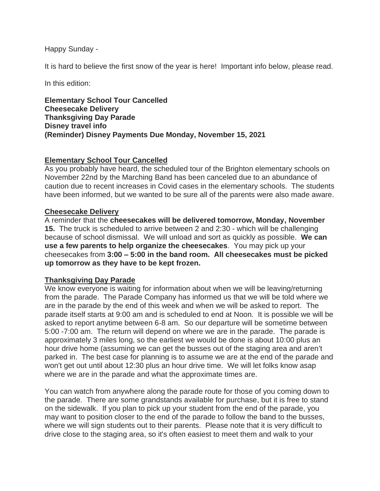Happy Sunday -

It is hard to believe the first snow of the year is here! Important info below, please read.

In this edition:

**Elementary School Tour Cancelled Cheesecake Delivery Thanksgiving Day Parade Disney travel info (Reminder) Disney Payments Due Monday, November 15, 2021**

# **Elementary School Tour Cancelled**

As you probably have heard, the scheduled tour of the Brighton elementary schools on November 22nd by the Marching Band has been canceled due to an abundance of caution due to recent increases in Covid cases in the elementary schools. The students have been informed, but we wanted to be sure all of the parents were also made aware.

## **Cheesecake Delivery**

A reminder that the **cheesecakes will be delivered tomorrow, Monday, November 15.** The truck is scheduled to arrive between 2 and 2:30 - which will be challenging because of school dismissal. We will unload and sort as quickly as possible. **We can use a few parents to help organize the cheesecakes**. You may pick up your cheesecakes from **3:00 – 5:00 in the band room. All cheesecakes must be picked up tomorrow as they have to be kept frozen.** 

## **Thanksgiving Day Parade**

We know everyone is waiting for information about when we will be leaving/returning from the parade. The Parade Company has informed us that we will be told where we are in the parade by the end of this week and when we will be asked to report. The parade itself starts at 9:00 am and is scheduled to end at Noon. It is possible we will be asked to report anytime between 6-8 am. So our departure will be sometime between 5:00 -7:00 am. The return will depend on where we are in the parade. The parade is approximately 3 miles long, so the earliest we would be done is about 10:00 plus an hour drive home (assuming we can get the busses out of the staging area and aren't parked in. The best case for planning is to assume we are at the end of the parade and won't get out until about 12:30 plus an hour drive time. We will let folks know asap where we are in the parade and what the approximate times are.

You can watch from anywhere along the parade route for those of you coming down to the parade. There are some grandstands available for purchase, but it is free to stand on the sidewalk. If you plan to pick up your student from the end of the parade, you may want to position closer to the end of the parade to follow the band to the busses, where we will sign students out to their parents. Please note that it is very difficult to drive close to the staging area, so it's often easiest to meet them and walk to your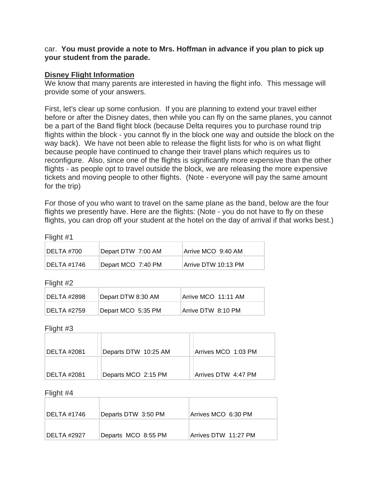### car. **You must provide a note to Mrs. Hoffman in advance if you plan to pick up your student from the parade.**

## **Disney Flight Information**

We know that many parents are interested in having the flight info. This message will provide some of your answers.

First, let's clear up some confusion. If you are planning to extend your travel either before or after the Disney dates, then while you can fly on the same planes, you cannot be a part of the Band flight block (because Delta requires you to purchase round trip flights within the block - you cannot fly in the block one way and outside the block on the way back). We have not been able to release the flight lists for who is on what flight because people have continued to change their travel plans which requires us to reconfigure. Also, since one of the flights is significantly more expensive than the other flights - as people opt to travel outside the block, we are releasing the more expensive tickets and moving people to other flights. (Note - everyone will pay the same amount for the trip)

For those of you who want to travel on the same plane as the band, below are the four flights we presently have. Here are the flights: (Note - you do not have to fly on these flights, you can drop off your student at the hotel on the day of arrival if that works best.)

Flight #1

| DELTA #700  | Depart DTW 7:00 AM | Arrive MCO 9:40 AM   |
|-------------|--------------------|----------------------|
| DELTA #1746 | Depart MCO 7:40 PM | ∣Arrive DTW 10:13 PM |

Flight #2

| DELTA #2898 | Depart DTW 8:30 AM | Arrive MCO 11:11 AM |
|-------------|--------------------|---------------------|
| DELTA #2759 | Depart MCO 5:35 PM | Arrive DTW 8:10 PM  |

Flight #3

| IDELTA #2081 | Departs DTW 10:25 AM | Arrives MCO 1:03 PM |
|--------------|----------------------|---------------------|
| IDELTA #2081 | Departs MCO 2:15 PM  | Arrives DTW 4:47 PM |

Flight #4

| DELTA #1746 | Departs DTW 3:50 PM | Arrives MCO 6:30 PM  |
|-------------|---------------------|----------------------|
| DELTA #2927 | Departs MCO 8:55 PM | Arrives DTW 11:27 PM |